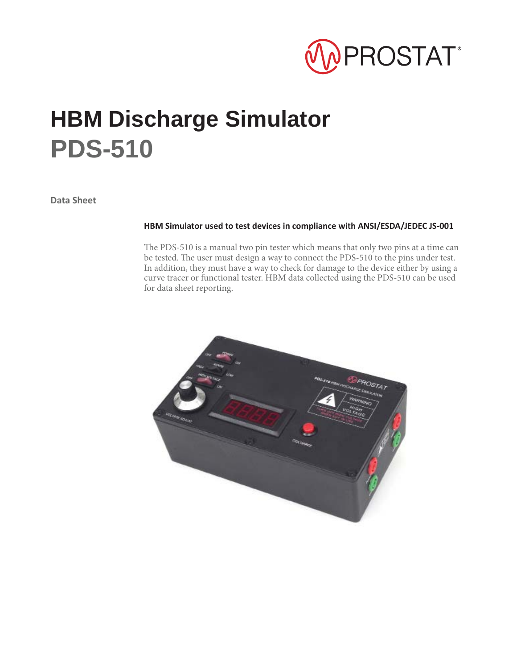

# **HBM Discharge Simulator PDS-510**

**Data Sheet**

#### **HBM Simulator used to test devices in compliance with ANSI/ESDA/JEDEC JS-001**

The PDS-510 is a manual two pin tester which means that only two pins at a time can be tested. The user must design a way to connect the PDS-510 to the pins under test. In addition, they must have a way to check for damage to the device either by using a curve tracer or functional tester. HBM data collected using the PDS-510 can be used for data sheet reporting.